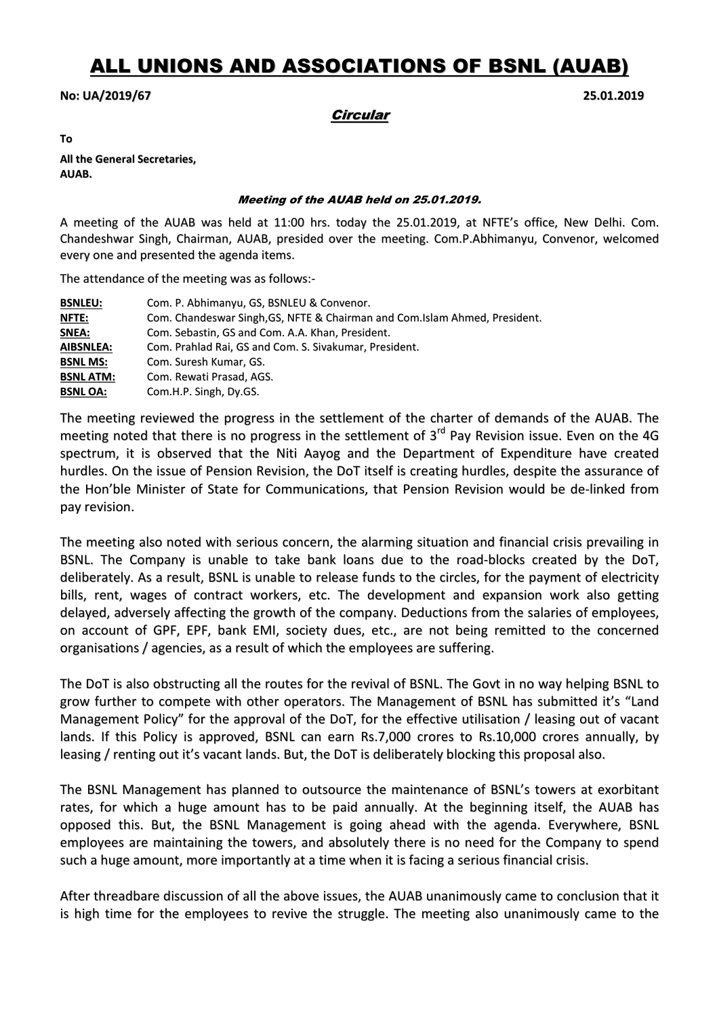# ALL UNIONS AND ASSOCIATIONS OF BSNL (AUAB)

## No: UA/2019/67 25.01.2019

# **Circular**

To

All the General Secretaries, AUAB.

#### Meeting of the AUAB held on 25.01.2019.

A meeting of the AUAB was held at 11:00 hrs. today the 25.01.2019, at NFTE's office, New Delhi. Com. Chandeshwar Singh, Chairman, AUAB, presided over the meeting. Com.P.Abhimanyu, Convenor, welcomed every one and presented the agenda items.

The attendance of the meeting was as follows:-

| <b>BSNLEU:</b>   | Com. P. Abhimanyu, GS, BSNLEU & Convenor.                                   |
|------------------|-----------------------------------------------------------------------------|
| <u>NFTE:</u>     | Com. Chandeswar Singh, GS, NFTE & Chairman and Com. Islam Ahmed, President. |
| SNEA:            | Com. Sebastin, GS and Com. A.A. Khan, President.                            |
| <b>AIBSNLEA:</b> | Com. Prahlad Rai, GS and Com. S. Sivakumar, President.                      |
| <b>BSNL MS:</b>  | Com. Suresh Kumar, GS.                                                      |
| <b>BSNL ATM:</b> | Com. Rewati Prasad, AGS.                                                    |
| <b>BSNL OA:</b>  | Com.H.P. Singh, Dy.GS.                                                      |

The meeting reviewed the progress in the settlement of the charter of demands of the AUAB. The meeting noted that there is no progress in the settlement of  $3<sup>rd</sup>$  Pay Revision issue. Even on the 4G spectrum, it is observed that the Niti Aayog and the Department of Expenditure have created hurdles. On the issue of Pension Revision, the DoT itself is creating hurdles, despite the assurance of the Hon'ble Minister of State for Communications, that Pension Revision would be de-linked from pay revision.

The meeting also noted with serious concern, the alarming situation and financial crisis prevailing in BSNL. The Company is unable to take bank loans due to the road-blocks created by the DoT, deliberately. As a result, BSNL is unable to release funds to the circles, for the payment of electricity bills, rent, wages of contract workers, etc. The development and expansion work also getting delayed, adversely affecting the growth of the company. Deductions from the salaries of employees, on account of GPF, EPF, bank EMI, society dues, etc., are not being remitted to the concerned organisations / agencies, as a result of which the employees are suffering.

The DoT is also obstructing all the routes for the revival of BSNL. The Govt in no way helping BSNL to grow further to compete with other operators. The Management of BSNL has submitted it's "Land Management Policy" for the approval of the DoT, for the effective utilisation / leasing out of vacant lands. If this Policy is approved, BSNL can earn Rs.7,000 crores to Rs.10,000 crores annually, by leasing / renting out it's vacant lands. But, the DoT is deliberately blocking this proposal also.

The BSNL Management has planned to outsource the maintenance of BSNL's towers at exorbitant rates, for which a huge amount has to be paid annually. At the beginning itself, the AUAB has opposed this. But, the BSNL Management is going ahead with the agenda. Everywhere, BSNL employees are maintaining the towers, and absolutely there is no need for the Company to spend such a huge amount, more importantly at a time when it is facing a serious financial crisis.

After threadbare discussion of all the above issues, the AUAB unanimously came to conclusion that it is high time for the employees to revive the struggle. The meeting also unanimously came to the